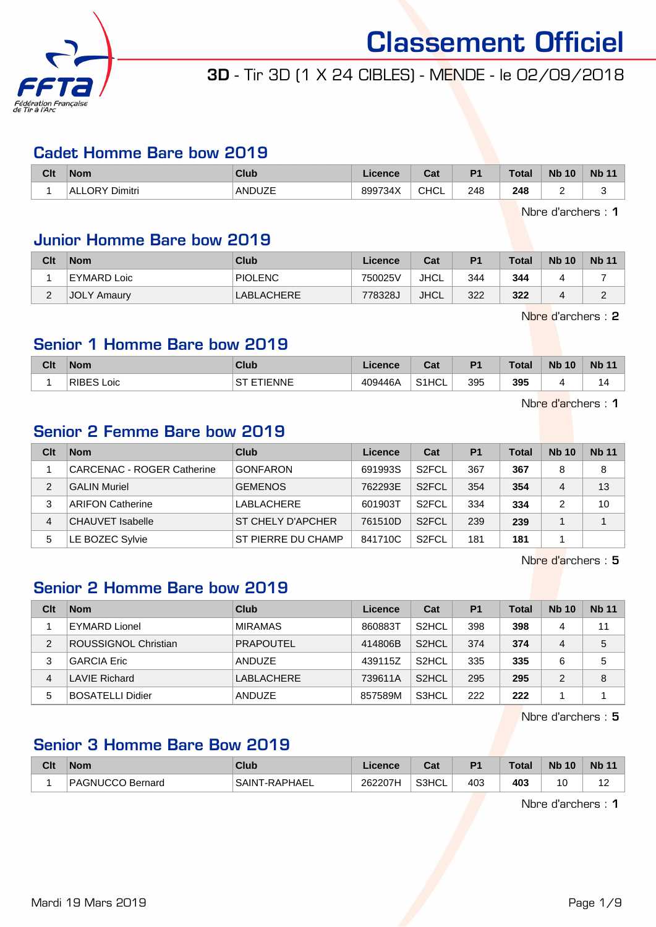

## 3D - Tir 3D (1 X 24 CIBLES) - MENDE - le 02/09/2018

#### Cadet Homme Bare bow 2019

| Clt | <b>Nom</b>        | Club   | Licence | <b>Dol</b><br>ual | D <sub>1</sub> | Total         | <b>Nb</b><br>10 | <b>Nb</b> |
|-----|-------------------|--------|---------|-------------------|----------------|---------------|-----------------|-----------|
|     | Dimitri<br>ALLORV | ANDUZE | 899734X | CHCL              | 248<br>___     | 248<br>$\sim$ |                 |           |

Nbre d'archers : 1

## Junior Homme Bare bow 2019

| Clt      | <b>Nom</b>         | Club       | Licence | Cat         | P <sub>1</sub> | <b>Total</b> | <b>Nb 10</b> | <b>Nb 11</b> |
|----------|--------------------|------------|---------|-------------|----------------|--------------|--------------|--------------|
|          | EYMARD Loic        | PIOLENC    | 750025V | JHCL        | 344            | 344          |              |              |
| <u>_</u> | <b>JOLY Amaury</b> | LABLACHERE | 778328J | <b>JHCL</b> | 322            | 322          |              |              |

Nbre d'archers : 2

#### Senior 1 Homme Bare bow 2019

| Clt | <b>Nom</b>           | Club         | .icence | $\sim$<br>cal            | P <sub>1</sub> | <b>Total</b> | <b>Nb 10</b> | <b>Nb 11</b> |
|-----|----------------------|--------------|---------|--------------------------|----------------|--------------|--------------|--------------|
|     | <b>RIBES</b><br>Loic | TIENNE<br>cт | 409446A | 0.41<br><sup>1</sup> HCL | 395            | 395          |              |              |

Nbre d'archers : 1

## Senior 2 Femme Bare bow 2019

| Clt | <b>Nom</b>                 | Club                     | Licence | Cat                | P <sub>1</sub> | <b>Total</b> | <b>Nb 10</b> | <b>Nb 11</b> |
|-----|----------------------------|--------------------------|---------|--------------------|----------------|--------------|--------------|--------------|
|     | CARCENAC - ROGER Catherine | <b>GONFARON</b>          | 691993S | S <sub>2</sub> FCL | 367            | 367          | 8            | 8            |
| 2   | <b>GALIN Muriel</b>        | <b>GEMENOS</b>           | 762293E | S <sub>2</sub> FCL | 354            | 354          | 4            | 13           |
| 3   | <b>ARIFON Catherine</b>    | LABLACHERE               | 601903T | S <sub>2</sub> FCL | 334            | 334          | 2            | 10           |
| 4   | CHAUVET Isabelle           | <b>ST CHELY D'APCHER</b> | 761510D | S <sub>2</sub> FCL | 239            | 239          |              |              |
| 5   | LE BOZEC Sylvie            | ST PIERRE DU CHAMP       | 841710C | S <sub>2</sub> FCL | 181            | 181          |              |              |

Nbre d'archers : 5

## Senior 2 Homme Bare bow 2019

| Clt | <b>Nom</b>              | <b>Club</b>      | Licence | Cat                | P <sub>1</sub> | <b>Total</b> | <b>Nb 10</b> | <b>Nb 11</b> |
|-----|-------------------------|------------------|---------|--------------------|----------------|--------------|--------------|--------------|
|     | EYMARD Lionel           | <b>MIRAMAS</b>   | 860883T | S <sub>2</sub> HCL | 398            | 398          | 4            | 11           |
| 2   | ROUSSIGNOL Christian    | <b>PRAPOUTEL</b> | 414806B | S <sub>2</sub> HCL | 374            | 374          | 4            | 5            |
| 3   | <b>GARCIA Eric</b>      | ANDUZE           | 439115Z | S <sub>2</sub> HCL | 335            | 335          | 6            | 5            |
| 4   | <b>LAVIE Richard</b>    | LABLACHERE       | 739611A | S <sub>2</sub> HCL | 295            | 295          | 2            | 8            |
| 5   | <b>BOSATELLI Didier</b> | ANDUZE           | 857589M | S3HCL              | 222            | 222          |              |              |

Nbre d'archers : 5

## Senior 3 Homme Bare Bow 2019

| Clt | <b>Nom</b>       | <b>Club</b>    | Licence | Cat   | D <sub>4</sub> | Total | <b>N<sub>b</sub></b><br>10 | <b>Nb 11</b> |
|-----|------------------|----------------|---------|-------|----------------|-------|----------------------------|--------------|
|     | PAGNUCCO Bernard | 'SAINT-RAPHAEL | 262207H | S3HCL | 403            | 403   | 0'                         | $\sim$       |

Nbre d'archers : 1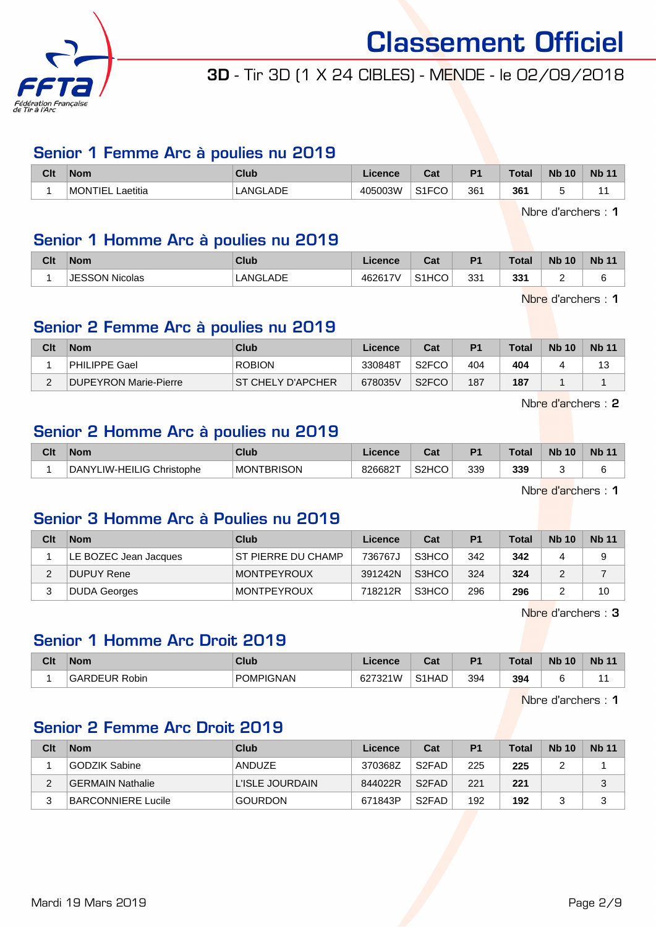

## 3D - Tir 3D (1 X 24 CIBLES) - MENDE - le 02/09/2018

#### Senior 1 Femme Arc à poulies nu 2019

| Clt | <b>Nom</b>                  | <b>Club</b> | <b>_icence</b> | Tot.<br>uai                       | D <sub>1</sub>  | Total | <b>Nb</b><br>10 | <b>Nb 11</b> |
|-----|-----------------------------|-------------|----------------|-----------------------------------|-----------------|-------|-----------------|--------------|
|     | <b>IMONTIEL</b><br>Laetitia | LANGLADE    | 405003W        | $\sim$ $\sim$ $\sim$<br>◡<br>۱۱ ب | 36 <sup>′</sup> | 361   |                 |              |

Nbre d'archers : 1

## Senior 1 Homme Arc à poulies nu 2019

| Clt | <b>Nom</b>     | <b>Club</b> | .icence | ◠ञ<br>val          | P <sub>1</sub>  | <b>Total</b> | <b>Nb 10</b> | <b>Nb 11</b> |
|-----|----------------|-------------|---------|--------------------|-----------------|--------------|--------------|--------------|
|     | JESSON Nicolas | LANGLADE    | 462617V | S <sub>1</sub> HCO | 33 <sup>′</sup> | 331          | <u>_</u>     |              |

Nbre d'archers : 1

## Senior 2 Femme Arc à poulies nu 2019

| Clt      | <b>Nom</b>            | Club                     | Licence | Cat                | P <sub>1</sub> | <b>Total</b> | <b>Nb 10</b> | <b>Nb 11</b> |
|----------|-----------------------|--------------------------|---------|--------------------|----------------|--------------|--------------|--------------|
|          | <b>PHILIPPE Gael</b>  | <b>ROBION</b>            | 330848T | S <sub>2</sub> FCO | 404            | 404          |              | 13           |
| $\Omega$ | DUPEYRON Marie-Pierre | <b>ST CHELY D'APCHER</b> | 678035V | S <sub>2</sub> FCO | 187            | 187          |              |              |

Nbre d'archers : 2

## Senior 2 Homme Arc à poulies nu 2019

| Clt | <b>Nom</b>                | Club              | Licence | <b>Cat</b><br>uai  | D <sub>1</sub> | <b>Total</b> | <b>N<sub>b</sub></b><br>10 | <b>Nb 11</b> |
|-----|---------------------------|-------------------|---------|--------------------|----------------|--------------|----------------------------|--------------|
|     | DANYLIW-HEILIG Christophe | <b>MONTBRISON</b> | 826682T | S <sub>2</sub> HCO | 339            | 339          |                            |              |

Nbre d'archers : 1

## Senior 3 Homme Arc à Poulies nu 2019

| Clt | <b>Nom</b>            | Club                      | Licence | Cat   | P <sub>1</sub> | Total | <b>Nb 10</b> | <b>Nb 11</b> |
|-----|-----------------------|---------------------------|---------|-------|----------------|-------|--------------|--------------|
|     | LE BOZEC Jean Jacques | <b>ST PIERRE DU CHAMP</b> | 736767J | S3HCO | 342            | 342   |              |              |
|     | DUPUY Rene            | <b>MONTPEYROUX</b>        | 391242N | S3HCO | 324            | 324   |              |              |
|     | DUDA Georges          | <b>MONTPEYROUX</b>        | 718212R | S3HCO | 296            | 296   |              | 10           |

Nbre d'archers : 3

#### Senior 1 Homme Arc Droit 2019

| Clt | <b>Nom</b>    | Club             | .icence | $\sim$<br>uai      | D <sub>1</sub> | <b>Total</b> | <b>N<sub>b</sub></b><br>10 | <b>Nb 11</b> |
|-----|---------------|------------------|---------|--------------------|----------------|--------------|----------------------------|--------------|
|     | GARDEUR Robin | <b>POMPIGNAN</b> | 627321W | S <sub>1</sub> HAD | 394            | 394          |                            |              |

Nbre d'archers : 1

## Senior 2 Femme Arc Droit 2019

| Clt | <b>Nom</b>         | Club            | Licence | Cat                             | P <sub>1</sub> | <b>Total</b> | <b>Nb 10</b> | <b>Nb 11</b> |
|-----|--------------------|-----------------|---------|---------------------------------|----------------|--------------|--------------|--------------|
|     | GODZIK Sabine      | ANDUZE          | 370368Z | S <sub>2</sub> FAD              | 225            | 225          | ◠<br>-       |              |
|     | IGERMAIN Nathalie  | L'ISLE JOURDAIN | 844022R | S <sub>2</sub> FAD              | 221            | 221          |              |              |
|     | BARCONNIERE Lucile | <b>GOURDON</b>  | 671843P | S <sub>2</sub> F <sub>A</sub> D | 192            | 192          |              |              |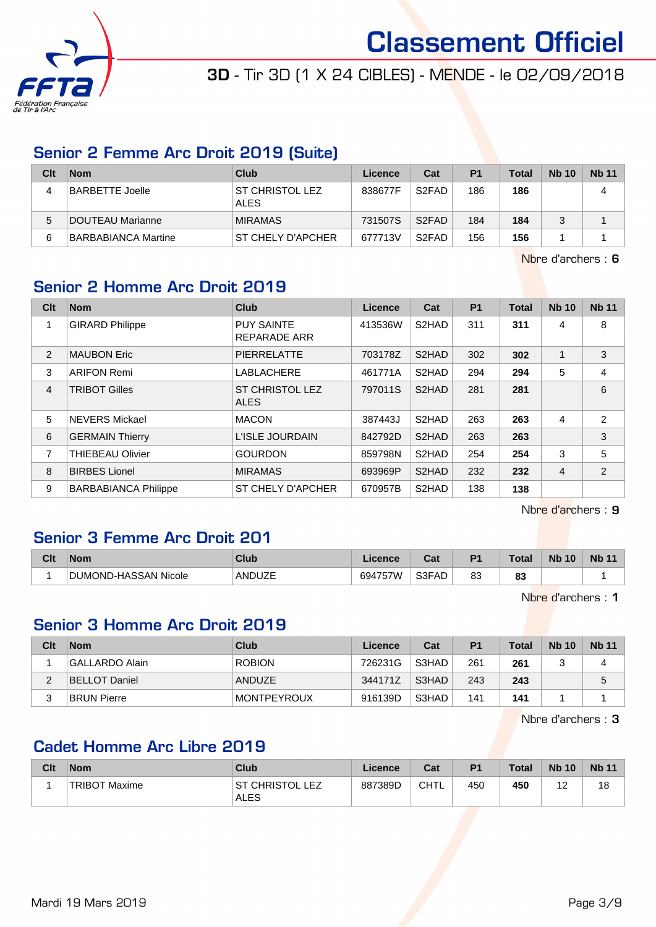

3D - Tir 3D (1 X 24 CIBLES) - MENDE - le 02/09/2018

## Senior 2 Femme Arc Droit 2019 (Suite)

| Clt | <b>Nom</b>          | Club                                  | Licence | Cat                            | P <sub>1</sub> | <b>Total</b> | <b>Nb 10</b> | <b>Nb</b> 11 |
|-----|---------------------|---------------------------------------|---------|--------------------------------|----------------|--------------|--------------|--------------|
|     | BARBETTE Joelle     | <b>ST CHRISTOL LEZ</b><br><b>ALES</b> | 838677F | S <sub>2</sub> F <sub>AD</sub> | 186            | 186          |              | 4            |
| 5   | DOUTEAU Marianne    | <b>MIRAMAS</b>                        | 731507S | S <sub>2</sub> FAD             | 184            | 184          | 2            |              |
| 6   | BARBABIANCA Martine | ST CHELY D'APCHER                     | 677713V | S <sub>2</sub> FAD             | 156            | 156          |              |              |

Nbre d'archers : 6

## Senior 2 Homme Arc Droit 2019

| Clt            | <b>Nom</b>                  | <b>Club</b>                              | Licence | Cat                | <b>P1</b> | <b>Total</b> | <b>Nb 10</b>   | <b>Nb 11</b>   |
|----------------|-----------------------------|------------------------------------------|---------|--------------------|-----------|--------------|----------------|----------------|
| 1              | <b>GIRARD Philippe</b>      | <b>PUY SAINTE</b><br><b>REPARADE ARR</b> | 413536W | S2HAD              | 311       | 311          | 4              | 8              |
| $\overline{2}$ | <b>MAUBON Eric</b>          | <b>PIERRELATTE</b>                       | 703178Z | S <sub>2</sub> HAD | 302       | 302          | $\mathbf{1}$   | 3              |
| 3              | <b>ARIFON Remi</b>          | <b>LABLACHERE</b>                        | 461771A | S <sub>2</sub> HAD | 294       | 294          | 5              | 4              |
| 4              | <b>TRIBOT Gilles</b>        | <b>ST CHRISTOL LEZ</b><br><b>ALES</b>    | 797011S | S <sub>2</sub> HAD | 281       | 281          |                | 6              |
| 5              | <b>NEVERS Mickael</b>       | <b>MACON</b>                             | 387443J | S <sub>2</sub> HAD | 263       | 263          | $\overline{4}$ | $\overline{2}$ |
| 6              | <b>GERMAIN Thierry</b>      | L'ISLE JOURDAIN                          | 842792D | S2HAD              | 263       | 263          |                | 3              |
| 7              | <b>THIEBEAU Olivier</b>     | <b>GOURDON</b>                           | 859798N | S2HAD              | 254       | 254          | 3              | 5              |
| 8              | <b>BIRBES Lionel</b>        | <b>MIRAMAS</b>                           | 693969P | S2HAD              | 232       | 232          | $\overline{4}$ | 2              |
| 9              | <b>BARBABIANCA Philippe</b> | ST CHELY D'APCHER                        | 670957B | S2HAD              | 138       | 138          |                |                |

Nbre d'archers : 9

## Senior 3 Femme Arc Droit 201

| Clt | <b>Nom</b>           | <b>Club</b> | icence                                              | <b>Cal</b><br>va. | D <sup>4</sup> | Total    | <b>Nb</b><br>10 | <b>Nb</b> |
|-----|----------------------|-------------|-----------------------------------------------------|-------------------|----------------|----------|-----------------|-----------|
|     | DUMOND-HASSAN Nicole | ANDUZE      | $1 - 1$<br>694<br>7 V.V<br>$\overline{\phantom{a}}$ | S3FAD             | ററ<br>ია       | n.<br>ია |                 |           |

Nbre d'archers : 1

## Senior 3 Homme Arc Droit 2019

| Clt      | <b>Nom</b>         | Club               | Licence | Cat   | P <sub>1</sub> | <b>Total</b> | <b>Nb 10</b> | <b>Nb 11</b> |
|----------|--------------------|--------------------|---------|-------|----------------|--------------|--------------|--------------|
|          | GALLARDO Alain     | <b>ROBION</b>      | 726231G | S3HAD | 261            | 261          |              |              |
| <u>.</u> | BELLOT Daniel      | ANDUZE             | 344171Z | S3HAD | 243            | 243          |              | b            |
| ົ<br>ບ   | <b>BRUN Pierre</b> | <b>MONTPEYROUX</b> | 916139D | S3HAD | 141            | 141          |              |              |

Nbre d'archers : 3

## Cadet Homme Arc Libre 2019

| Clt | <b>Nom</b>    | Club                                        | Licence | Cat  | P <sub>1</sub> | <b>Total</b> | <b>Nb 10</b> | <b>Nb 11</b> |
|-----|---------------|---------------------------------------------|---------|------|----------------|--------------|--------------|--------------|
|     | TRIBOT Maxime | LEZ<br><sup>-</sup> CHRISTOL<br>.ST<br>ALES | 887389D | CHTL | 450            | 450          | -            | 18           |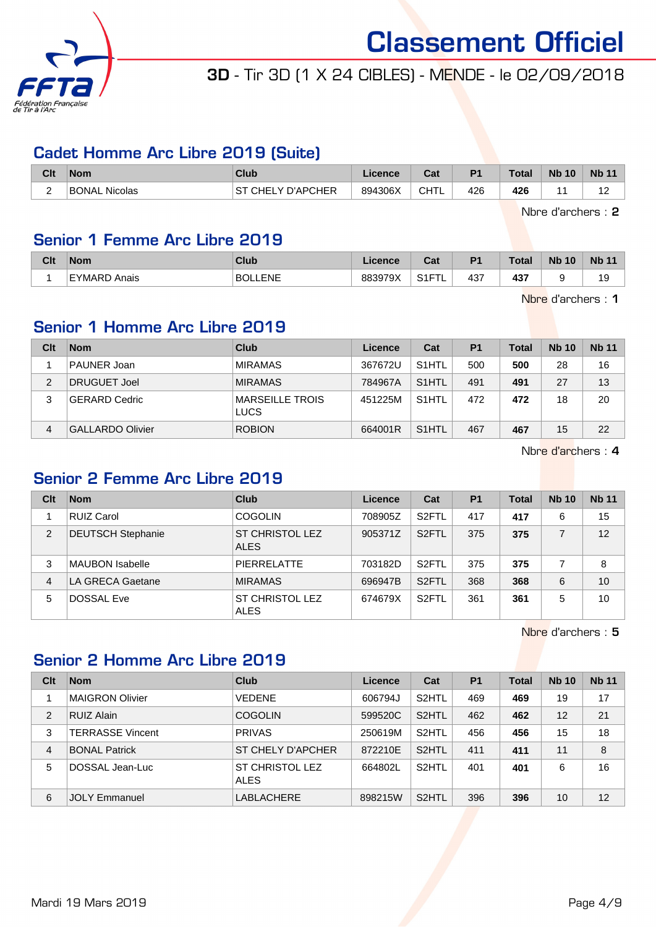

## 3D - Tir 3D (1 X 24 CIBLES) - MENDE - le 02/09/2018

#### Cadet Homme Arc Libre 2019 (Suite)

| Clt | ∣Nom          | Club                                                | Licence | $R_{\rm{orb}}$<br>ua | D <sub>1</sub> | <b>Total</b> | <b>N<sub>b</sub></b><br>10 | <b>N<sub>b</sub></b> |
|-----|---------------|-----------------------------------------------------|---------|----------------------|----------------|--------------|----------------------------|----------------------|
| -   | BONAL Nicolas | ' D'APCHER<br>S1<br>CHEL'<br>$\sim$<br>$\mathbf{v}$ | 894306X | CHTL                 | 426            | 426          |                            | . .                  |

Nbre d'archers : 2

## Senior 1 Femme Arc Libre 2019

| Clt | <b>Nom</b>      | Club                 | icence  | $0 - 4$<br>ual    | $P^{\prime}$ | <b>Total</b> | <b>N<sub>b</sub></b><br>10 | <b>Nb 11</b> |
|-----|-----------------|----------------------|---------|-------------------|--------------|--------------|----------------------------|--------------|
|     | EYMARD<br>Anais | LLENE<br><b>BOLI</b> | 883979X | 0.4 <sub>FT</sub> | 437          | 437<br>731   | ∼                          | 19           |

Nbre d'archers : 1

## Senior 1 Homme Arc Libre 2019

| Clt | <b>Nom</b>              | Club                                  | Licence | Cat                | P <sub>1</sub> | Total | <b>Nb 10</b> | <b>Nb 11</b> |
|-----|-------------------------|---------------------------------------|---------|--------------------|----------------|-------|--------------|--------------|
|     | PAUNER Joan             | <b>MIRAMAS</b>                        | 367672U | S <sub>1</sub> HTL | 500            | 500   | 28           | 16           |
| 2   | DRUGUET Joel            | <b>MIRAMAS</b>                        | 784967A | S <sub>1</sub> HTL | 491            | 491   | 27           | 13           |
| 3   | <b>GERARD Cedric</b>    | <b>MARSEILLE TROIS</b><br><b>LUCS</b> | 451225M | S <sub>1</sub> HTL | 472            | 472   | 18           | 20           |
| 4   | <b>GALLARDO Olivier</b> | <b>ROBION</b>                         | 664001R | S <sub>1</sub> HTL | 467            | 467   | 15           | 22           |

Nbre d'archers : 4

#### Senior 2 Femme Arc Libre 2019

| Clt | <b>Nom</b>               | Club                                  | Licence | Cat                | P <sub>1</sub> | Total | <b>Nb 10</b> | <b>Nb 11</b> |
|-----|--------------------------|---------------------------------------|---------|--------------------|----------------|-------|--------------|--------------|
|     | <b>RUIZ Carol</b>        | <b>COGOLIN</b>                        | 708905Z | S <sub>2</sub> FTL | 417            | 417   | 6            | 15           |
| 2   | <b>DEUTSCH Stephanie</b> | ST CHRISTOL LEZ<br><b>ALES</b>        | 905371Z | S <sub>2</sub> FTL | 375            | 375   |              | 12           |
| 3   | <b>MAUBON Isabelle</b>   | <b>PIERRELATTE</b>                    | 703182D | S <sub>2</sub> FTL | 375            | 375   |              | 8            |
| 4   | LA GRECA Gaetane         | <b>MIRAMAS</b>                        | 696947B | S <sub>2</sub> FTL | 368            | 368   | 6            | 10           |
| 5   | <b>DOSSAL Eve</b>        | <b>ST CHRISTOL LEZ</b><br><b>ALES</b> | 674679X | S <sub>2</sub> FTL | 361            | 361   | 5            | 10           |

Nbre d'archers : 5

## Senior 2 Homme Arc Libre 2019

| Clt            | <b>Nom</b>              | Club                           | Licence | Cat                | P <sub>1</sub> | <b>Total</b> | <b>Nb 10</b> | <b>Nb 11</b> |
|----------------|-------------------------|--------------------------------|---------|--------------------|----------------|--------------|--------------|--------------|
|                | <b>MAIGRON Olivier</b>  | <b>VEDENE</b>                  | 606794J | S <sub>2</sub> HTL | 469            | 469          | 19           | 17           |
| $\overline{2}$ | <b>RUIZ Alain</b>       | <b>COGOLIN</b>                 | 599520C | S <sub>2</sub> HTL | 462            | 462          | 12           | 21           |
| 3              | <b>TERRASSE Vincent</b> | <b>PRIVAS</b>                  | 250619M | S <sub>2</sub> HTL | 456            | 456          | 15           | 18           |
| $\overline{4}$ | <b>BONAL Patrick</b>    | ST CHELY D'APCHER              | 872210E | S <sub>2</sub> HTL | 411            | 411          | 11           | 8            |
| 5              | DOSSAL Jean-Luc         | ST CHRISTOL LEZ<br><b>ALES</b> | 664802L | S <sub>2</sub> HTL | 401            | 401          | 6            | 16           |
| 6              | <b>JOLY Emmanuel</b>    | LABLACHERE                     | 898215W | S <sub>2</sub> HTL | 396            | 396          | 10           | 12           |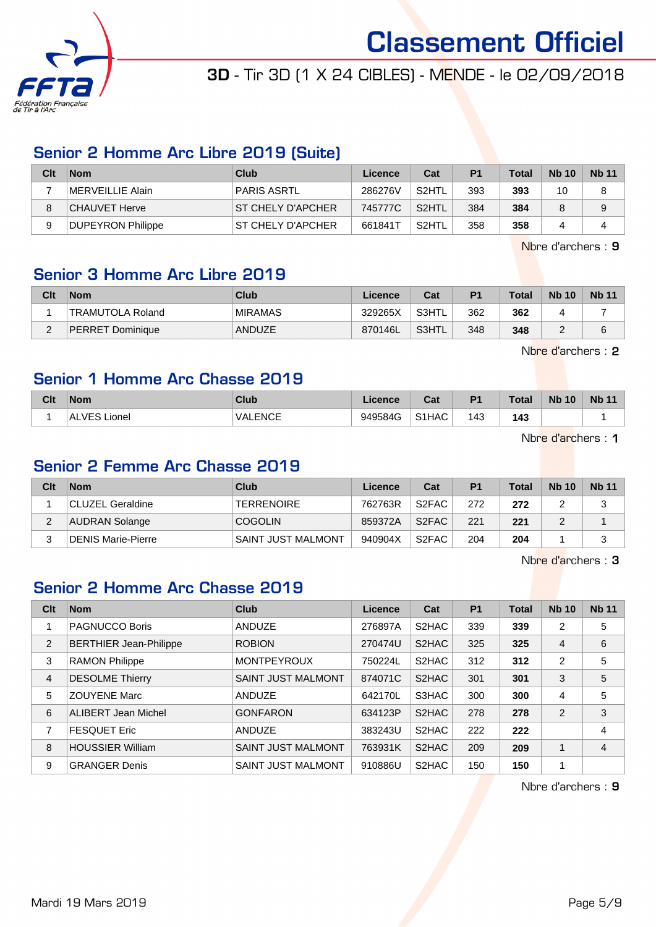

## 3D - Tir 3D (1 X 24 CIBLES) - MENDE - le 02/09/2018

#### Senior 2 Homme Arc Libre 2019 (Suite)

| Clt | <b>Nom</b>               | Club               | Licence | Cat                | P1  | <b>Total</b> | <b>Nb 10</b> | <b>Nb 11</b> |
|-----|--------------------------|--------------------|---------|--------------------|-----|--------------|--------------|--------------|
|     | <b>IMERVEILLIE Alain</b> | PARIS ASRTL        | 286276V | S <sub>2</sub> HTL | 393 | 393          | 10           | 8            |
|     | CHAUVET Herve            | IST CHELY D'APCHER | 745777C | S <sub>2</sub> HTL | 384 | 384          |              | 9            |
|     | DUPEYRON Philippe        | IST CHELY D'APCHER | 661841T | S <sub>2</sub> HTL | 358 | 358          |              |              |

Nbre d'archers : 9

## Senior 3 Homme Arc Libre 2019

| Clt      | <b>Nom</b>              | Club           | Licence | Cat   | P <sub>1</sub> | <b>Total</b> | <b>Nb 10</b> | <b>Nb 11</b> |
|----------|-------------------------|----------------|---------|-------|----------------|--------------|--------------|--------------|
|          | <b>TRAMUTOLA Roland</b> | <b>MIRAMAS</b> | 329265X | S3HTL | 362            | 362          |              |              |
| $\Omega$ | PERRET Dominique        | ANDUZE         | 870146L | S3HTL | 348            | 348          |              |              |

Nbre d'archers : 2

## Senior 1 Homme Arc Chasse 2019

| Clt | <b>Nom</b>            | <b>Club</b>    | .icence | ∩^+<br>val | D <sub>1</sub> | <b>Total</b> | <b>N<sub>b</sub></b><br>10 | <b>Nb</b> |
|-----|-----------------------|----------------|---------|------------|----------------|--------------|----------------------------|-----------|
|     | /E C<br>.ionel<br>AL. | <b>VALENCE</b> | 949584G | S1HAC      | 143            | 143          |                            |           |

Nbre d'archers : 1

## Senior 2 Femme Arc Chasse 2019

| Clt | <b>Nom</b>         | Club               | Licence | Cat                | P <sub>1</sub> | <b>Total</b> | <b>Nb 10</b> | <b>Nb 11</b> |
|-----|--------------------|--------------------|---------|--------------------|----------------|--------------|--------------|--------------|
|     | CLUZEL Geraldine   | <b>TERRENOIRE</b>  | 762763R | S2FAC              | 272            | 272          |              |              |
| ∠   | AUDRAN Solange     | <b>COGOLIN</b>     | 859372A | S2FAC              | 221            | 221          |              |              |
| 2   | DENIS Marie-Pierre | SAINT JUST MALMONT | 940904X | S <sub>2</sub> FAC | 204            | 204          |              |              |

Nbre d'archers : 3

## Senior 2 Homme Arc Chasse 2019

| Clt            | <b>Nom</b>                    | Club                      | Licence | Cat                | <b>P1</b> | <b>Total</b> | <b>Nb 10</b> | <b>Nb 11</b> |
|----------------|-------------------------------|---------------------------|---------|--------------------|-----------|--------------|--------------|--------------|
|                | <b>PAGNUCCO Boris</b>         | ANDUZE                    | 276897A | S <sub>2</sub> HAC | 339       | 339          | 2            | 5            |
| 2              | <b>BERTHIER Jean-Philippe</b> | <b>ROBION</b>             | 270474U | S <sub>2</sub> HAC | 325       | 325          | 4            | 6            |
| 3              | <b>RAMON Philippe</b>         | <b>MONTPEYROUX</b>        | 750224L | S2HAC              | 312       | 312          | 2            | 5            |
| $\overline{4}$ | <b>DESOLME Thierry</b>        | <b>SAINT JUST MALMONT</b> | 874071C | S <sub>2</sub> HAC | 301       | 301          | 3            | 5            |
| 5              | <b>ZOUYENE Marc</b>           | <b>ANDUZE</b>             | 642170L | S3HAC              | 300       | 300          | 4            | 5            |
| 6              | <b>ALIBERT Jean Michel</b>    | <b>GONFARON</b>           | 634123P | S2HAC              | 278       | 278          | 2            | 3            |
| 7              | <b>FESQUET Eric</b>           | <b>ANDUZE</b>             | 383243U | S2HAC              | 222       | 222          |              | 4            |
| 8              | <b>HOUSSIER William</b>       | <b>SAINT JUST MALMONT</b> | 763931K | S2HAC              | 209       | 209          | 1            | 4            |
| 9              | <b>GRANGER Denis</b>          | <b>SAINT JUST MALMONT</b> | 910886U | S2HAC              | 150       | 150          | 1            |              |

Nbre d'archers : 9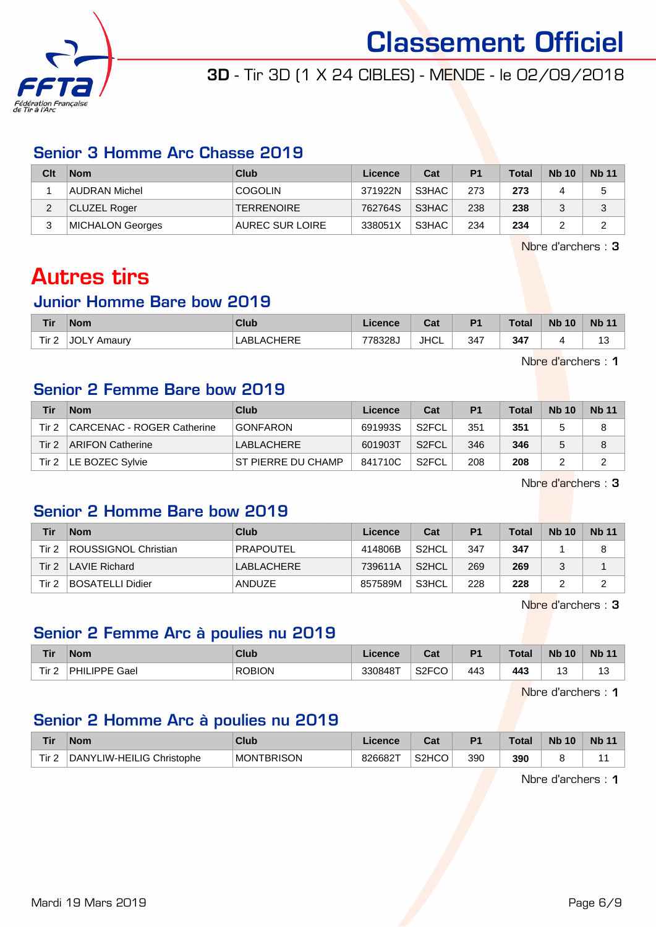

## 3D - Tir 3D (1 X 24 CIBLES) - MENDE - le 02/09/2018

#### Senior 3 Homme Arc Chasse 2019

| Clt    | <b>Nom</b>          | Club                   | Licence | Cat   | P <sub>1</sub> | <b>Total</b> | <b>Nb 10</b> | <b>Nb 11</b> |
|--------|---------------------|------------------------|---------|-------|----------------|--------------|--------------|--------------|
|        | AUDRAN Michel       | <b>COGOLIN</b>         | 371922N | S3HAC | 273            | 273          |              |              |
| ົ<br>∠ | <b>CLUZEL Roger</b> | <b>TERRENOIRE</b>      | 762764S | S3HAC | 238            | 238          |              |              |
| 3      | MICHALON Georges    | <b>AUREC SUR LOIRE</b> | 338051X | S3HAC | 234            | 234          |              |              |

Nbre d'archers : 3

## Autres tirs

#### Junior Homme Bare bow 2019

| <b>Tir</b>       | <b>Nom</b>            | Club              | ∟icence | Cat         | P <sub>1</sub> | <b>Total</b> | <b>Nb 10</b> | <b>Nb 11</b>  |
|------------------|-----------------------|-------------------|---------|-------------|----------------|--------------|--------------|---------------|
| Tir <sub>2</sub> | <b>JOLY</b><br>Amaury | <b>LABLACHERE</b> | 778328J | <b>JHCL</b> | 347            | 347          |              | $\sim$<br>ں ، |

Nbre d'archers : 1

## Senior 2 Femme Bare bow 2019

| Tir   | <b>Nom</b>                 | Club                | Licence | Cat                | P <sub>1</sub> | <b>Total</b> | <b>Nb 10</b> | <b>Nb 11</b> |
|-------|----------------------------|---------------------|---------|--------------------|----------------|--------------|--------------|--------------|
| Tir 2 | CARCENAC - ROGER Catherine | <b>GONFARON</b>     | 691993S | S <sub>2</sub> FCL | 351            | 351          |              |              |
| Tir 2 | ARIFON Catherine           | LABLACHERE          | 601903T | S <sub>2</sub> FCL | 346            | 346          |              |              |
| Tir 2 | LE BOZEC Sylvie            | IST PIERRE DU CHAMP | 841710C | S <sub>2</sub> FCL | 208            | 208          |              |              |

Nbre d'archers : 3

## Senior 2 Homme Bare bow 2019

| Tir   | <b>Nom</b>              | Club       | Licence | Cat                | <b>P1</b> | Total | <b>Nb 10</b> | <b>Nb 11</b> |
|-------|-------------------------|------------|---------|--------------------|-----------|-------|--------------|--------------|
| Tir 2 | ROUSSIGNOL Christian    | PRAPOUTEL  | 414806B | S <sub>2</sub> HCL | 347       | 347   |              |              |
| Tir 2 | LAVIE Richard           | LABLACHERE | 739611A | S <sub>2</sub> HCL | 269       | 269   |              |              |
| Tir 2 | <b>BOSATELLI Didier</b> | ANDUZE     | 857589M | S3HCL              | 228       | 228   |              |              |

Nbre d'archers : 3

#### Senior 2 Femme Arc à poulies nu 2019

| <b>Tir</b>            | <b>Nom</b>           | Club          | Licence | ◠ឹ៶<br>udl               | P <sub>1</sub> | <b>Total</b> | <b>N<sub>b</sub></b><br>10 | <b>Nb 11</b> |
|-----------------------|----------------------|---------------|---------|--------------------------|----------------|--------------|----------------------------|--------------|
| Tir <sub>2</sub><br>▴ | <b>PHILIPPE Gael</b> | <b>ROBION</b> | 330848T | S <sub>2</sub> FCO<br>ט- | 443            | 443          | ن⊦                         | ں ،          |

Nbre d'archers : 1

## Senior 2 Homme Arc à poulies nu 2019

| <b>Tir</b>       | <b>Nom</b>                             | <b>Club</b>            | .icence | ◠∼<br>ua           | <b>P1</b> | <b>Total</b> | <b>N<sub>b</sub></b><br>10 | <b>Nb 11</b> |
|------------------|----------------------------------------|------------------------|---------|--------------------|-----------|--------------|----------------------------|--------------|
| Tir <sub>2</sub> | 'LIW-HEILIG Christophe<br><b>DANYI</b> | TBRISON<br><b>MON1</b> | 826682T | S <sub>2</sub> HCO | 390       | 390          |                            |              |

Nbre d'archers : 1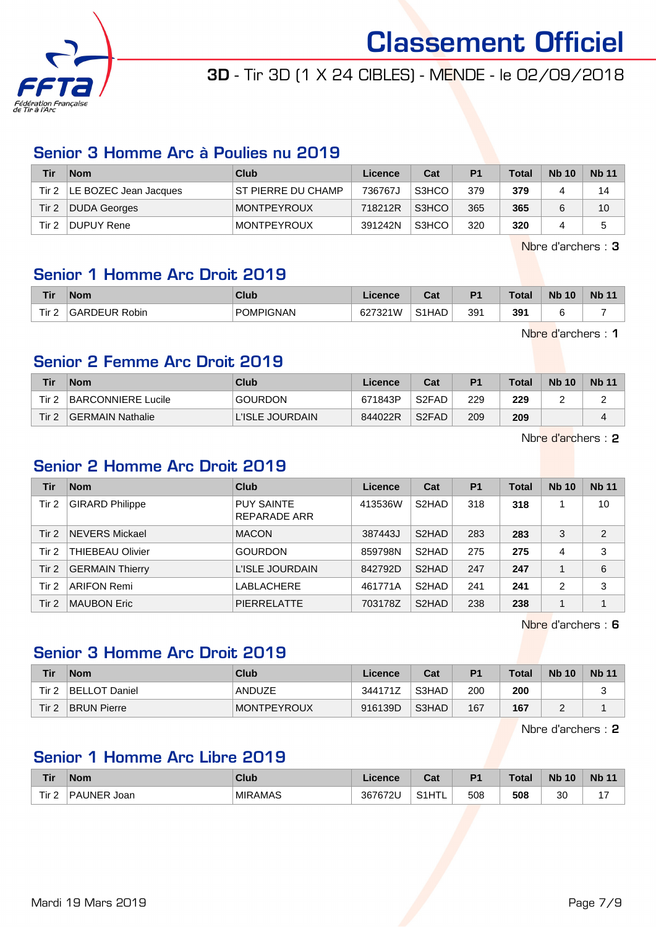

## 3D - Tir 3D (1 X 24 CIBLES) - MENDE - le 02/09/2018

#### Senior 3 Homme Arc à Poulies nu 2019

| Tir   | <b>Nom</b>                     | Club                | Licence | Cat   | P <sub>1</sub> | <b>Total</b> | <b>Nb 10</b> | <b>Nb 11</b> |
|-------|--------------------------------|---------------------|---------|-------|----------------|--------------|--------------|--------------|
|       | Tir $2$  LE BOZEC Jean Jacques | IST PIERRE DU CHAMP | 736767J | S3HCO | 379            | 379          |              | 14           |
| Tir 2 | DUDA Georges                   | <b>MONTPEYROUX</b>  | 718212R | S3HCO | 365            | 365          |              | 10           |
| Tir 2 | DUPUY Rene                     | <b>MONTPEYROUX</b>  | 391242N | S3HCO | 320            | 320          |              | 5            |

Nbre d'archers : 3

## Senior 1 Homme Arc Droit 2019

| Tir              | <b>Nom</b>         | <b>Club</b>      | icence               | והיה<br>va. | D <sub>4</sub> | <b>Total</b> | <b>N<sub>b</sub></b><br>10 | <b>Nb</b> |
|------------------|--------------------|------------------|----------------------|-------------|----------------|--------------|----------------------------|-----------|
| Tir.<br><u>_</u> | UR Robin<br>GARDEl | <b>POMPIGNAN</b> | 627321W<br>62.<br>ےں | S1HAD       | 391            | 391          |                            |           |

Nbre d'archers : 1

## Senior 2 Femme Arc Droit 2019

| Tir.             | <b>Nom</b>         | Club            | Licence | Cat                            | P <sub>1</sub> | Total | <b>Nb 10</b> | <b>Nb 11</b> |
|------------------|--------------------|-----------------|---------|--------------------------------|----------------|-------|--------------|--------------|
| Tir 2            | BARCONNIERE Lucile | <b>GOURDON</b>  | 671843P | S <sub>2</sub> F <sub>AD</sub> | 229            | 229   |              |              |
| Tir <sub>2</sub> | GERMAIN Nathalie   | L'ISLE JOURDAIN | 844022R | S <sub>2</sub> F <sub>AD</sub> | 209            | 209   |              |              |

Nbre d'archers : 2

## Senior 2 Homme Arc Droit 2019

| Tir   | <b>Nom</b>              | Club                              | Licence | Cat                | <b>P1</b> | <b>Total</b> | <b>Nb 10</b> | <b>Nb 11</b> |
|-------|-------------------------|-----------------------------------|---------|--------------------|-----------|--------------|--------------|--------------|
| Tir 2 | <b>GIRARD Philippe</b>  | <b>PUY SAINTE</b><br>REPARADE ARR | 413536W | S <sub>2</sub> HAD | 318       | 318          |              | 10           |
| Tir 2 | <b>NEVERS Mickael</b>   | <b>MACON</b>                      | 387443J | S2HAD              | 283       | 283          | 3            | 2            |
| Tir 2 | <b>THIEBEAU Olivier</b> | <b>GOURDON</b>                    | 859798N | S <sub>2</sub> HAD | 275       | 275          | 4            | 3            |
| Tir 2 | <b>GERMAIN Thierry</b>  | L'ISLE JOURDAIN                   | 842792D | S <sub>2</sub> HAD | 247       | 247          |              | 6            |
| Tir 2 | <b>ARIFON Remi</b>      | LABLACHERE                        | 461771A | S <sub>2</sub> HAD | 241       | 241          | 2            | 3            |
| Tir 2 | <b>MAUBON Eric</b>      | <b>PIERRELATTE</b>                | 703178Z | S <sub>2</sub> HAD | 238       | 238          | 1            | 1            |

Nbre d'archers : 6

## Senior 3 Homme Arc Droit 2019

| Tir   | <b>Nom</b>           | Club               | Licence | Cat   | P <sub>1</sub> | <b>Total</b> | <b>Nb 10</b> | <b>Nb 11</b> |
|-------|----------------------|--------------------|---------|-------|----------------|--------------|--------------|--------------|
| Tir 2 | <b>BELLOT Daniel</b> | ANDUZE             | 344171Z | S3HAD | 200            | 200          |              |              |
| Tir 2 | <b>BRUN Pierre</b>   | <b>MONTPEYROUX</b> | 916139D | S3HAD | 167            | 167          |              |              |

Nbre d'archers : 2

## Senior 1 Homme Arc Libre 2019

| <b>Tir</b> | <b>Nom</b>                | Club           | Licence | ີລະ<br>uai                       | D <sub>1</sub> | <b>Total</b> | <b>N<sub>b</sub></b><br>10 | <b>Nb 11</b> |
|------------|---------------------------|----------------|---------|----------------------------------|----------------|--------------|----------------------------|--------------|
| Πir.       | ∣INFR<br>'ΡΔ<br>Joar<br>∼ | <b>MIRAMAS</b> | 367672U | ⊥ட∗<br>$\sim$ 1<br>ا ו חו כ<br>− | 508            | 508          | ٩C<br>υU                   |              |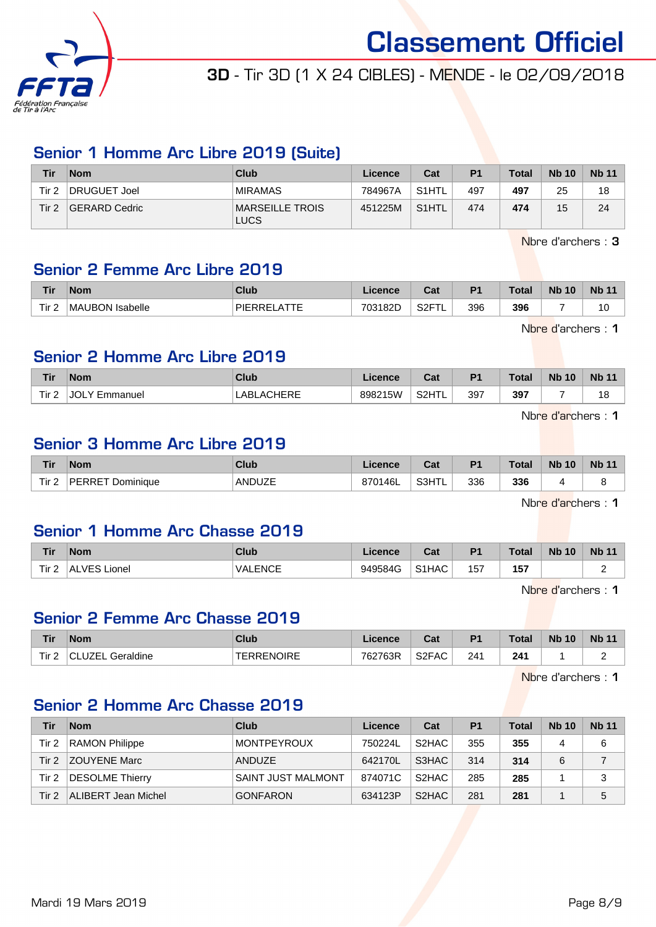

## 3D - Tir 3D (1 X 24 CIBLES) - MENDE - le 02/09/2018

#### Senior 1 Homme Arc Libre 2019 (Suite)

| <b>Tir</b>       | <b>Nom</b>    | Club                           | Licence | Cat                | P <sub>1</sub> | <b>Total</b> | <b>Nb 10</b> | <b>Nb 11</b> |
|------------------|---------------|--------------------------------|---------|--------------------|----------------|--------------|--------------|--------------|
| Tir <sub>2</sub> | DRUGUET Joel  | <b>MIRAMAS</b>                 | 784967A | S1HTL              | 497            | 497          | 25           | 18           |
| Tir $2$          | GERARD Cedric | MARSEILLE TROIS<br><b>LUCS</b> | 451225M | S <sub>1</sub> HTL | 474            | 474          | 15           | 24           |

Nbre d'archers : 3

#### Senior 2 Femme Arc Libre 2019

| Tir   | <b>Nom</b>      | Club                   | .icence | $\sim$<br>⊍dl | D.  | <b>Total</b> | <b>N<sub>b</sub></b><br>10 | <b>Nb 11</b> |
|-------|-----------------|------------------------|---------|---------------|-----|--------------|----------------------------|--------------|
| Tir 2 | MAUBON Isabelle | <b>ATTF</b><br>PIERREI | 703182D | . S2F™        | 396 | 396          | -                          | 10           |

Nbre d'archers : 1

### Senior 2 Homme Arc Libre 2019

|                                              | Tir              | <b>Nom</b> | Club                      | icence  | r.,<br>ud.         | D <sub>4</sub> | <b>Total</b> | <b>Nb 10</b> | <b>Nb</b> |
|----------------------------------------------|------------------|------------|---------------------------|---------|--------------------|----------------|--------------|--------------|-----------|
| 397<br>וחו.<br>LABL/<br>Emmanuel<br>nu.<br>∼ | Tir <sub>2</sub> |            | `HEDE<br>$\Lambda$ $\sim$ | 898215W | S <sub>2</sub> HTI | 397            |              | --           | "<br>1 O  |

Nbre d'archers : 1

## Senior 3 Homme Arc Libre 2019

| Tir              | <b>Nom</b>          | Club          | icence              | ◠ञ<br>va. | D <sub>4</sub> | <b>Total</b> | <b>N<sub>b</sub></b><br>10 | <b>Nb</b> |
|------------------|---------------------|---------------|---------------------|-----------|----------------|--------------|----------------------------|-----------|
| Tir <sub>2</sub> | PERRET<br>Dominique | <b>ANDUZE</b> | <b>146L</b><br>8701 | S3HTL     | 336            | 336          |                            |           |

Nbre d'archers : 1

## Senior 1 Homme Arc Chasse 2019

| <b>Tir</b> | <b>Nom</b>       | Club           | Licence | $\sim$<br>⊍aι      | D <sub>1</sub> | <b>Total</b> | <b>N<sub>b</sub></b><br>10 | <b>Nb</b> |
|------------|------------------|----------------|---------|--------------------|----------------|--------------|----------------------------|-----------|
| Tir $2$    | ALVES!<br>Lionel | <b>VALENCE</b> | 949584G | S <sub>1</sub> HAC | 157            | 157<br>$ -$  |                            |           |

Nbre d'archers : 1

#### Senior 2 Femme Arc Chasse 2019

| <b>Tir</b>   | <b>Nom</b>        | Club       | Licence | Cost <sub>o</sub><br>ual | P <sub>1</sub> | <b>Total</b> | <b>Nb</b><br>10 | <b>Nb 11</b> |
|--------------|-------------------|------------|---------|--------------------------|----------------|--------------|-----------------|--------------|
| $ -$<br>l ir | Geraldine<br>ウスロー | TERRENOIRE | 762763R | S2FAC                    | 241            | 241          |                 | -            |

Nbre d'archers : 1

## Senior 2 Homme Arc Chasse 2019

| Tir   | <b>Nom</b>            | Club                      | Licence | Cat                | P <sub>1</sub> | <b>Total</b> | <b>Nb 10</b> | <b>Nb 11</b> |
|-------|-----------------------|---------------------------|---------|--------------------|----------------|--------------|--------------|--------------|
| Tir 2 | <b>RAMON Philippe</b> | <b>MONTPEYROUX</b>        | 750224L | S <sub>2</sub> HAC | 355            | 355          | 4            | 6            |
| Tir 2 | <b>ZOUYENE Marc</b>   | <b>ANDUZE</b>             | 642170L | S3HAC              | 314            | 314          | 6            |              |
| Tir 2 | DESOLME Thierry       | <b>SAINT JUST MALMONT</b> | 874071C | S <sub>2</sub> HAC | 285            | 285          |              | 3            |
| Tir 2 | ALIBERT Jean Michel   | <b>GONFARON</b>           | 634123P | S <sub>2</sub> HAC | 281            | 281          |              | 5            |